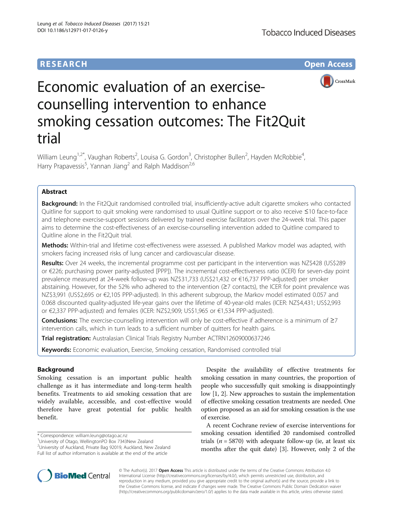# **RESEARCH CHE Open Access**



# Economic evaluation of an exercisecounselling intervention to enhance smoking cessation outcomes: The Fit2Quit trial

William Leung<sup>1,2\*</sup>, Vaughan Roberts<sup>2</sup>, Louisa G. Gordon<sup>3</sup>, Christopher Bullen<sup>2</sup>, Hayden McRobbie<sup>4</sup> , Harry Prapavessis<sup>5</sup>, Yannan Jiang<sup>2</sup> and Ralph Maddison<sup>2,6</sup>

# Abstract

Background: In the Fit2Quit randomised controlled trial, insufficiently-active adult cigarette smokers who contacted Quitline for support to quit smoking were randomised to usual Quitline support or to also receive ≤10 face-to-face and telephone exercise-support sessions delivered by trained exercise facilitators over the 24-week trial. This paper aims to determine the cost-effectiveness of an exercise-counselling intervention added to Quitline compared to Quitline alone in the Fit2Quit trial.

Methods: Within-trial and lifetime cost-effectiveness were assessed. A published Markov model was adapted, with smokers facing increased risks of lung cancer and cardiovascular disease.

Results: Over 24 weeks, the incremental programme cost per participant in the intervention was NZ\$428 (US\$289 or €226; purchasing power parity-adjusted [PPP]). The incremental cost-effectiveness ratio (ICER) for seven-day point prevalence measured at 24-week follow-up was NZ\$31,733 (US\$21,432 or €16,737 PPP-adjusted) per smoker abstaining. However, for the 52% who adhered to the intervention (≥7 contacts), the ICER for point prevalence was NZ\$3,991 (US\$2,695 or €2,105 PPP-adjusted). In this adherent subgroup, the Markov model estimated 0.057 and 0.068 discounted quality-adjusted life-year gains over the lifetime of 40-year-old males (ICER: NZ\$4,431; US\$2,993 or €2,337 PPP-adjusted) and females (ICER: NZ\$2,909; US\$1,965 or €1,534 PPP-adjusted).

Conclusions: The exercise-counselling intervention will only be cost-effective if adherence is a minimum of  $\geq 7$ intervention calls, which in turn leads to a sufficient number of quitters for health gains.

Trial registration: Australasian Clinical Trials Registry Number [ACTRN12609000637246](https://www.anzctr.org.au/Trial/Registration/TrialReview.aspx?id=308267&isReview=true)

Keywords: Economic evaluation, Exercise, Smoking cessation, Randomised controlled trial

## Background

Smoking cessation is an important public health challenge as it has intermediate and long-term health benefits. Treatments to aid smoking cessation that are widely available, accessible, and cost-effective would therefore have great potential for public health benefit.

\* Correspondence: [william.leung@otago.ac.nz](mailto:william.leung@otago.ac.nz) <sup>1</sup>

University of Otago, WellingtonPO Box 7343New Zealand

2 University of Auckland, Private Bag 92019, Auckland, New Zealand Full list of author information is available at the end of the article

Despite the availability of effective treatments for smoking cessation in many countries, the proportion of people who successfully quit smoking is disappointingly low [\[1, 2\]](#page-8-0). New approaches to sustain the implementation of effective smoking cessation treatments are needed. One option proposed as an aid for smoking cessation is the use of exercise.

A recent Cochrane review of exercise interventions for smoking cessation identified 20 randomised controlled trials ( $n = 5870$ ) with adequate follow-up (ie, at least six months after the quit date) [[3\]](#page-8-0). However, only 2 of the



© The Author(s). 2017 **Open Access** This article is distributed under the terms of the Creative Commons Attribution 4.0 International License [\(http://creativecommons.org/licenses/by/4.0/](http://creativecommons.org/licenses/by/4.0/)), which permits unrestricted use, distribution, and reproduction in any medium, provided you give appropriate credit to the original author(s) and the source, provide a link to the Creative Commons license, and indicate if changes were made. The Creative Commons Public Domain Dedication waiver [\(http://creativecommons.org/publicdomain/zero/1.0/](http://creativecommons.org/publicdomain/zero/1.0/)) applies to the data made available in this article, unless otherwise stated.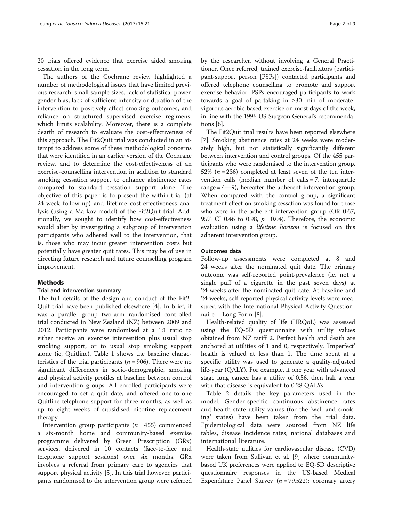20 trials offered evidence that exercise aided smoking cessation in the long term.

The authors of the Cochrane review highlighted a number of methodological issues that have limited previous research: small sample sizes, lack of statistical power, gender bias, lack of sufficient intensity or duration of the intervention to positively affect smoking outcomes, and reliance on structured supervised exercise regimens, which limits scalability. Moreover, there is a complete dearth of research to evaluate the cost-effectiveness of this approach. The Fit2Quit trial was conducted in an attempt to address some of these methodological concerns that were identified in an earlier version of the Cochrane review, and to determine the cost-effectiveness of an exercise-counselling intervention in addition to standard smoking cessation support to enhance abstinence rates compared to standard cessation support alone. The objective of this paper is to present the within-trial (at 24-week follow-up) and lifetime cost-effectiveness analysis (using a Markov model) of the Fit2Quit trial. Additionally, we sought to identify how cost-effectiveness would alter by investigating a subgroup of intervention participants who adhered well to the intervention, that is, those who may incur greater intervention costs but potentially have greater quit rates. This may be of use in directing future research and future counselling program improvement.

## **Methods**

## Trial and intervention summary

The full details of the design and conduct of the Fit2- Quit trial have been published elsewhere [\[4\]](#page-8-0). In brief, it was a parallel group two-arm randomised controlled trial conducted in New Zealand (NZ) between 2009 and 2012. Participants were randomised at a 1:1 ratio to either receive an exercise intervention plus usual stop smoking support, or to usual stop smoking support alone (ie, Quitline). Table [1](#page-2-0) shows the baseline characteristics of the trial participants ( $n = 906$ ). There were no significant differences in socio-demographic, smoking and physical activity profiles at baseline between control and intervention groups. All enrolled participants were encouraged to set a quit date, and offered one-to-one Quitline telephone support for three months, as well as up to eight weeks of subsidised nicotine replacement therapy.

Intervention group participants ( $n = 455$ ) commenced a six-month home and community-based exercise programme delivered by Green Prescription (GRx) services, delivered in 10 contacts (face-to-face and telephone support sessions) over six months. GRx involves a referral from primary care to agencies that support physical activity [[5](#page-8-0)]. In this trial however, participants randomised to the intervention group were referred by the researcher, without involving a General Practitioner. Once referred, trained exercise-facilitators (participant-support person [PSPs]) contacted participants and offered telephone counselling to promote and support exercise behavior. PSPs encouraged participants to work towards a goal of partaking in ≥30 min of moderatevigorous aerobic-based exercise on most days of the week, in line with the 1996 US Surgeon General's recommendations [\[6\]](#page-8-0).

The Fit2Quit trial results have been reported elsewhere [[7\]](#page-8-0). Smoking abstinence rates at 24 weeks were moderately high, but not statistically significantly different between intervention and control groups. Of the 455 participants who were randomised to the intervention group, 52% ( $n = 236$ ) completed at least seven of the ten intervention calls (median number of calls = 7, interquartile range =  $4\rightarrow$ 9), hereafter the adherent intervention group. When compared with the control group, a significant treatment effect on smoking cessation was found for those who were in the adherent intervention group (OR 0.67, 95% CI 0.46 to 0.98,  $p = 0.04$ ). Therefore, the economic evaluation using a lifetime horizon is focused on this adherent intervention group.

## Outcomes data

Follow-up assessments were completed at 8 and 24 weeks after the nominated quit date. The primary outcome was self-reported point-prevalence (ie, not a single puff of a cigarette in the past seven days) at 24 weeks after the nominated quit date. At baseline and 24 weeks, self-reported physical activity levels were measured with the International Physical Activity Questionnaire – Long Form [[8\]](#page-8-0).

Health-related quality of life (HRQoL) was assessed using the EQ-5D questionnaire with utility values obtained from NZ tariff 2. Perfect health and death are anchored at utilities of 1 and 0, respectively. 'Imperfect' health is valued at less than 1. The time spent at a specific utility was used to generate a quality-adjusted life-year (QALY). For example, if one year with advanced stage lung cancer has a utility of 0.56, then half a year with that disease is equivalent to 0.28 QALYs.

Table [2](#page-3-0) details the key parameters used in the model. Gender-specific continuous abstinence rates and health-state utility values (for the 'well and smoking' states) have been taken from the trial data. Epidemiological data were sourced from NZ life tables, disease incidence rates, national databases and international literature.

Health-state utilities for cardiovascular disease (CVD) were taken from Sullivan et al. [[9](#page-8-0)] where communitybased UK preferences were applied to EQ-5D descriptive questionnaire responses in the US-based Medical Expenditure Panel Survey ( $n = 79,522$ ); coronary artery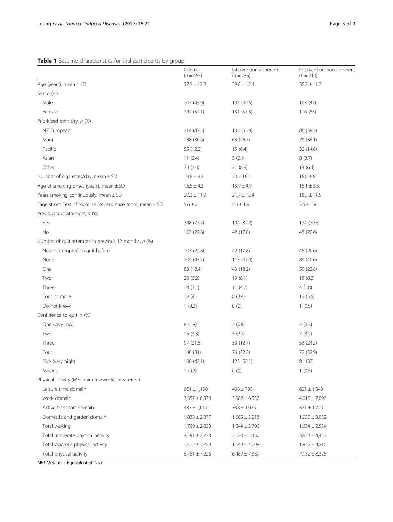## <span id="page-2-0"></span>Table 1 Baseline characteristics for trial participants by group

|                                                         | Control<br>$(n = 455)$ | Intervention adherent<br>$(n = 236)$ | Intervention non-adherent<br>$(n = 219)$ |
|---------------------------------------------------------|------------------------|--------------------------------------|------------------------------------------|
| Age (years), mean $\pm$ SD                              | $37.3 \pm 12.2$        | $39.8 \pm 12.4$                      | $35.2 \pm 11.7$                          |
| Sex, n (%)                                              |                        |                                      |                                          |
| Male                                                    | 207 (45.9)             | 105 (44.5)                           | 103(47)                                  |
| Female                                                  | 244 (54.1)             | 131 (55.5)                           | 116(53)                                  |
| Prioritised ethnicity, n (%)                            |                        |                                      |                                          |
| NZ European                                             | 214 (47.5)             | 132 (55.9)                           | 86 (39.3)                                |
| Māori                                                   | 138 (30.6)             | 63 (26.7)                            | 79 (36.1)                                |
| Pacific                                                 | 55 (12.2)              | 15(6.4)                              | 32 (14.6)                                |
| Asian                                                   | 11(2.4)                | 5(2.1)                               | 8(3.7)                                   |
| Other                                                   | 33(7.3)                | 21 (8.9)                             | 14(6.4)                                  |
| Number of cigarettes/day, mean $\pm$ SD                 | $19.8 \pm 9.2$         | $20 \pm 10.5$                        | $18.8 \pm 8.1$                           |
| Age of smoking onset (years), mean $\pm$ SD             | $15.5 \pm 4.2$         | $15.9 \pm 4.9$                       | $15.1 \pm 3.3$                           |
| Years smoking continuously, mean $\pm$ SD               | $20.3 \pm 11.9$        | $21.7 \pm 12.4$                      | $18.5 \pm 11.5$                          |
| Fagerström Test of Nicotine Dependence score, mean ± SD | $5.6 \pm 2$            | $5.5 \pm 1.9$                        | $5.5 \pm 1.9$                            |
| Previous quit attempts, n (%)                           |                        |                                      |                                          |
| Yes                                                     | 348 (77.2)             | 194 (82.2)                           | 174 (79.5)                               |
| No                                                      | 103 (22.8)             | 42 (17.8)                            | 45 (20.6)                                |
| Number of quit attempts in previous 12 months, n (%)    |                        |                                      |                                          |
| Never attempted to quit before                          | 103 (22.8)             | 42 (17.8)                            | 45 (20.6)                                |
| None                                                    | 204 (45.2)             | 113 (47.9)                           | 89 (40.6)                                |
| One                                                     | 83 (18.4)              | 43 (18.2)                            | 50 (22.8)                                |
| Two                                                     | 28 (6.2)               | 19(8.1)                              | 18(8.2)                                  |
| Three                                                   | 14(3.1)                | 11(4.7)                              | 4(1.8)                                   |
| Four or more                                            | 18(4)                  | 8(3.4)                               | 12(5.5)                                  |
| Do not know                                             | 1(0.2)                 | 0(0)                                 | 1(0.5)                                   |
| Confidence to quit, n (%)                               |                        |                                      |                                          |
| One (very low)                                          | 8(1.8)                 | 2(0.9)                               | 5(2.3)                                   |
| Two                                                     | 15(3.3)                | 5(2.1)                               | 7(3.2)                                   |
| Three                                                   | 97 (21.5)              | 30 (12.7)                            | 53 (24.2)                                |
| Four                                                    | 140 (31)               | 76 (32.2)                            | 72 (32.9)                                |
| Five (very high)                                        | 190 (42.1)             | 123 (52.1)                           | 81 (37)                                  |
| Missing                                                 | 1(0.2)                 | 0(0)                                 | 1(0.5)                                   |
| Physical activity (MET minutes/week), mean $\pm$ SD     |                        |                                      |                                          |
| Leisure time domain                                     | $601 \pm 1,150$        | $498 \pm 799$                        | $621 \pm 1,343$                          |
| Work domain                                             | $3,557 \pm 6,370$      | $3,982 \pm 6,532$                    | $4,015 \pm 7,096$                        |
| Active transport domain                                 | $437 \pm 1,047$        | $338 \pm 1,025$                      | $531 \pm 1,720$                          |
| Domestic and garden domain                              | $1,838 \pm 2,877$      | $1,665 \pm 2,218$                    | $1,930 \pm 3,032$                        |
| Total walking                                           | $1,769 \pm 2,838$      | $1,844 \pm 2,706$                    | $1,634 \pm 2,534$                        |
| Total moderate physical activity                        | $3,191 \pm 3,728$      | $3,030 \pm 3,460$                    | $3,624 \pm 4,453$                        |
| Total vigorous physical activity                        | $1,472 \pm 3,728$      | $1,643 \pm 4,008$                    | $1,832 \pm 4,316$                        |
| Total physical activity                                 | $6,481 \pm 7,226$      | $6,489 \pm 7,389$                    | $7,132 \pm 8,325$                        |

MET Metabolic Equivalent of Task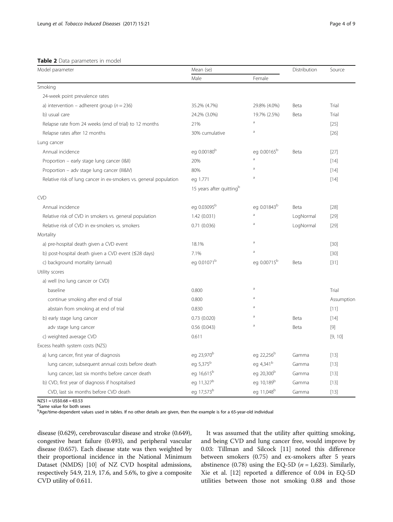<span id="page-3-0"></span>Table 2 Data parameters in model

| Model parameter                                                   | Mean (se)                            | Distribution            | Source    |            |
|-------------------------------------------------------------------|--------------------------------------|-------------------------|-----------|------------|
|                                                                   | Male                                 | Female                  |           |            |
| Smoking                                                           |                                      |                         |           |            |
| 24-week point prevalence rates                                    |                                      |                         |           |            |
| a) intervention – adherent group ( $n = 236$ )                    | 35.2% (4.7%)                         | 29.8% (4.0%)            | Beta      | Trial      |
| b) usual care                                                     | 24.2% (3.0%)                         | 19.7% (2.5%)            | Beta      | Trial      |
| Relapse rate from 24 weeks (end of trial) to 12 months            | 21%                                  | a                       |           | $[25]$     |
| Relapse rates after 12 months                                     | 30% cumulative                       | a                       |           | $[26]$     |
| Lung cancer                                                       |                                      |                         |           |            |
| Annual incidence                                                  | eg 0.00180 <sup>b</sup>              | eg 0.00165 <sup>b</sup> | Beta      | $[27]$     |
| Proportion - early stage lung cancer (I&II)                       | 20%                                  | a                       |           | $[14]$     |
| Proportion - adv stage lung cancer (III&IV)                       | 80%                                  | a                       |           | $[14]$     |
| Relative risk of lung cancer in ex-smokers vs. general population | eg 1.771                             | $\overline{a}$          |           | $[14]$     |
|                                                                   | 15 years after quitting <sup>b</sup> |                         |           |            |
| <b>CVD</b>                                                        |                                      |                         |           |            |
| Annual incidence                                                  | eg 0.03095b                          | eg 0.01843 <sup>b</sup> | Beta      | $[28]$     |
| Relative risk of CVD in smokers vs. general population            | 1.42 (0.031)                         | $\overline{a}$          | LogNormal | $[29]$     |
| Relative risk of CVD in ex-smokers vs. smokers                    | 0.71(0.036)                          | a                       | LogNormal | $[29]$     |
| Mortality                                                         |                                      |                         |           |            |
| a) pre-hospital death given a CVD event                           | 18.1%                                | $\overline{a}$          |           | $[30]$     |
| b) post-hospital death given a CVD event (≤28 days)               | 7.1%                                 | a                       |           | $[30]$     |
| c) background mortality (annual)                                  | eg 0.01071 <sup>b</sup>              | eg 0.00715 <sup>b</sup> | Beta      | $[31]$     |
| Utility scores                                                    |                                      |                         |           |            |
| a) well (no lung cancer or CVD)                                   |                                      |                         |           |            |
| baseline                                                          | 0.800                                | a                       |           | Trial      |
| continue smoking after end of trial                               | 0.800                                | a                       |           | Assumption |
| abstain from smoking at end of trial                              | 0.830                                | a                       |           | $[11]$     |
| b) early stage lung cancer                                        | 0.73(0.020)                          | a                       | Beta      | $[14]$     |
| adv stage lung cancer                                             | 0.56(0.043)                          | a                       | Beta      | $[9]$      |
| c) weighted average CVD                                           | 0.611                                |                         |           | [9, 10]    |
| Excess health system costs (NZ\$)                                 |                                      |                         |           |            |
| a) lung cancer, first year of diagnosis                           | eg 23,970 <sup>b</sup>               | eg 22,256 <sup>b</sup>  | Gamma     | $[13]$     |
| lung cancer, subsequent annual costs before death                 | eg 5,375 <sup>b</sup>                | eg 4,341 <sup>b</sup>   | Gamma     | $[13]$     |
| lung cancer, last six months before cancer death                  | eg 16,615 <sup>b</sup>               | eg 20,300 <sup>b</sup>  | Gamma     | $[13]$     |
| b) CVD, first year of diagnosis if hospitalised                   | eg 11,327 <sup>b</sup>               | eg 10,189 <sup>b</sup>  | Gamma     | $[13]$     |
| CVD, last six months before CVD death                             | eg 17,573 <sup>b</sup>               | eg 11,048 <sup>b</sup>  | Gamma     | $[13]$     |

 $NZ$1 = US$0.68 = $0.53$ 

Same value for both sexes

bAge/time-dependent values used in tables. If no other details are given, then the example is for a 65-year-old individual

disease (0.629), cerebrovascular disease and stroke (0.649), congestive heart failure (0.493), and peripheral vascular disease (0.657). Each disease state was then weighted by their proportional incidence in the National Minimum Dataset (NMDS) [\[10\]](#page-8-0) of NZ CVD hospital admissions, respectively 54.9, 21.9, 17.6, and 5.6%, to give a composite CVD utility of 0.611.

It was assumed that the utility after quitting smoking, and being CVD and lung cancer free, would improve by 0.03: Tillman and Silcock [\[11](#page-8-0)] noted this difference between smokers (0.75) and ex-smokers after 5 years abstinence (0.78) using the EQ-5D ( $n = 1,623$ ). Similarly, Xie et al. [\[12\]](#page-8-0) reported a difference of 0.04 in EQ-5D utilities between those not smoking 0.88 and those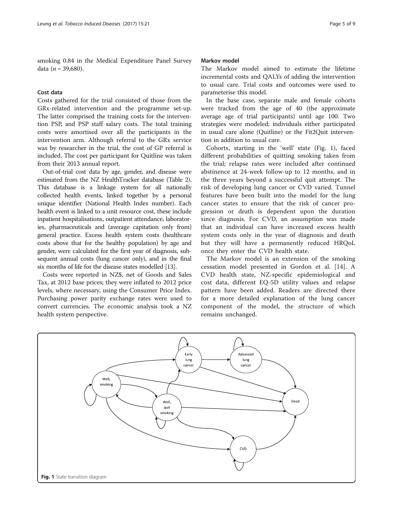smoking 0.84 in the Medical Expenditure Panel Survey data ( $n = 39,680$ ).

## Cost data

Costs gathered for the trial consisted of those from the GRx-related intervention and the programme set-up. The latter comprised the training costs for the intervention PSP, and PSP staff salary costs. The total training costs were amortised over all the participants in the intervention arm. Although referral to the GRx service was by researcher in the trial, the cost of GP referral is included. The cost per participant for Quitline was taken from their 2013 annual report.

Out-of-trial cost data by age, gender, and disease were estimated from the NZ HealthTracker database (Table [2](#page-3-0)). This database is a linkage system for all nationally collected health events, linked together by a personal unique identifier (National Health Index number). Each health event is linked to a unit resource cost, these include inpatient hospitalisations, outpatient attendance, laboratories, pharmaceuticals and (average capitation only from) general practice. Excess health system costs (healthcare costs above that for the healthy population) by age and gender, were calculated for the first year of diagnosis, subsequent annual costs (lung cancer only), and in the final six months of life for the disease states modelled [\[13\]](#page-8-0).

Costs were reported in NZ\$, net of Goods and Sales Tax, at 2012 base prices; they were inflated to 2012 price levels, where necessary, using the Consumer Price Index. Purchasing power parity exchange rates were used to convert currencies. The economic analysis took a NZ health system perspective.

#### Markov model

The Markov model aimed to estimate the lifetime incremental costs and QALYs of adding the intervention to usual care. Trial costs and outcomes were used to parameterise this model.

In the base case, separate male and female cohorts were tracked from the age of 40 (the approximate average age of trial participants) until age 100. Two strategies were modeled; individuals either participated in usual care alone (Quitline) or the Fit2Quit intervention in addition to usual care.

Cohorts, starting in the 'well' state (Fig. 1), faced different probabilities of quitting smoking taken from the trial; relapse rates were included after continued abstinence at 24-week follow-up to 12 months, and in the three years beyond a successful quit attempt. The risk of developing lung cancer or CVD varied. Tunnel features have been built into the model for the lung cancer states to ensure that the risk of cancer progression or death is dependent upon the duration since diagnosis. For CVD, an assumption was made that an individual can have increased excess health system costs only in the year of diagnosis and death but they will have a permanently reduced HRQoL once they enter the CVD health state.

The Markov model is an extension of the smoking cessation model presented in Gordon et al. [\[14](#page-8-0)]. A CVD health state, NZ-specific epidemiological and cost data, different EQ-5D utility values and relapse pattern have been added. Readers are directed there for a more detailed explanation of the lung cancer component of the model, the structure of which remains unchanged.

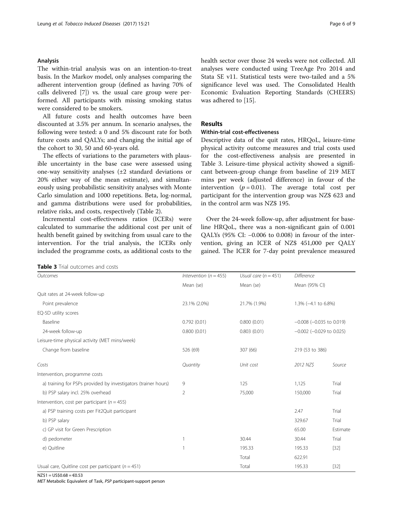## Analysis

The within-trial analysis was on an intention-to-treat basis. In the Markov model, only analyses comparing the adherent intervention group (defined as having 70% of calls delivered [\[7\]](#page-8-0)) vs. the usual care group were performed. All participants with missing smoking status were considered to be smokers.

All future costs and health outcomes have been discounted at 3.5% per annum. In scenario analyses, the following were tested: a 0 and 5% discount rate for both future costs and QALYs; and changing the initial age of the cohort to 30, 50 and 60-years old.

The effects of variations to the parameters with plausible uncertainty in the base case were assessed using one-way sensitivity analyses (±2 standard deviations or 20% either way of the mean estimate), and simultaneously using probabilistic sensitivity analyses with Monte Carlo simulation and 1000 repetitions. Beta, log-normal, and gamma distributions were used for probabilities, relative risks, and costs, respectively (Table [2\)](#page-3-0).

Incremental cost-effectiveness ratios (ICERs) were calculated to summarise the additional cost per unit of health benefit gained by switching from usual care to the intervention. For the trial analysis, the ICERs only included the programme costs, as additional costs to the

Table 3 Trial outcomes and costs

health sector over those 24 weeks were not collected. All analyses were conducted using TreeAge Pro 2014 and Stata SE v11. Statistical tests were two-tailed and a 5% significance level was used. The Consolidated Health Economic Evaluation Reporting Standards (CHEERS) was adhered to [[15\]](#page-8-0).

## Results

## Within-trial cost-effectiveness

Descriptive data of the quit rates, HRQoL, leisure-time physical activity outcome measures and trial costs used for the cost-effectiveness analysis are presented in Table 3. Leisure-time physical activity showed a significant between-group change from baseline of 219 MET mins per week (adjusted difference) in favour of the intervention ( $p = 0.01$ ). The average total cost per participant for the intervention group was NZ\$ 623 and in the control arm was NZ\$ 195.

Over the 24-week follow-up, after adjustment for baseline HRQoL, there was a non-significant gain of 0.001 QALYs (95% CI: −0.006 to 0.008) in favour of the intervention, giving an ICER of NZ\$ 451,000 per QALY gained. The ICER for 7-day point prevalence measured

| Outcomes                                                       | Intervention ( $n = 455$ ) | Usual care $(n = 451)$ | Difference                    |          |
|----------------------------------------------------------------|----------------------------|------------------------|-------------------------------|----------|
|                                                                | Mean (se)                  | Mean (se)              | Mean (95% CI)                 |          |
| Quit rates at 24-week follow-up                                |                            |                        |                               |          |
| Point prevalence                                               | 23.1% (2.0%)               | 21.7% (1.9%)           | 1.3% (-4.1 to 6.8%)           |          |
| EQ-5D utility scores                                           |                            |                        |                               |          |
| Baseline                                                       | 0.792(0.01)                | 0.800(0.01)            | $-0.008$ ( $-0.035$ to 0.019) |          |
| 24-week follow-up                                              | 0.800(0.01)                | 0.803(0.01)            | $-0.002$ ( $-0.029$ to 0.025) |          |
| Leisure-time physical activity (MET mins/week)                 |                            |                        |                               |          |
| Change from baseline                                           | 526 (69)                   | 307 (66)               | 219 (53 to 386)               |          |
| Costs                                                          | Quantity                   | Unit cost              | 2012 NZ\$                     | Source   |
| Intervention, programme costs                                  |                            |                        |                               |          |
| a) training for PSPs provided by investigators (trainer hours) | 9                          | 125                    | 1,125                         | Trial    |
| b) PSP salary incl. 25% overhead                               | 2                          | 75,000                 | 150,000                       | Trial    |
| Intervention, cost per participant ( $n = 455$ )               |                            |                        |                               |          |
| a) PSP training costs per Fit2Quit participant                 |                            |                        | 2.47                          | Trial    |
| b) PSP salary                                                  |                            |                        | 329.67                        | Trial    |
| c) GP visit for Green Prescription                             |                            |                        | 65.00                         | Estimate |
| d) pedometer                                                   | 1                          | 30.44                  | 30.44                         | Trial    |
| e) Quitline                                                    | 1                          | 195.33                 | 195.33                        | $[32]$   |
|                                                                |                            | Total                  | 622.91                        |          |
| Usual care, Quitline cost per participant ( $n = 451$ )        |                            | Total                  | 195.33                        | $[32]$   |

 $NZ\$ \$1 = US\$0.68 = €0.53

MET Metabolic Equivalent of Task, PSP participant-support person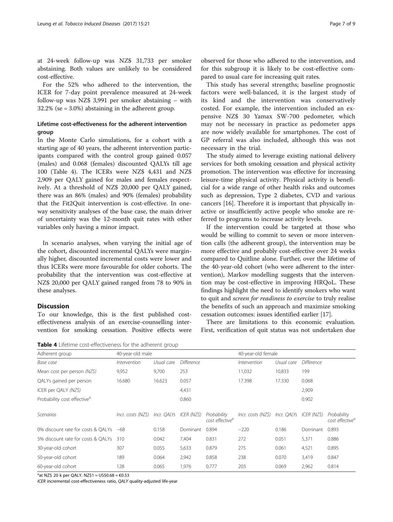at 24-week follow-up was NZ\$ 31,733 per smoker abstaining. Both values are unlikely to be considered cost-effective.

For the 52% who adhered to the intervention, the ICER for 7-day point prevalence measured at 24-week follow-up was NZ\$ 3,991 per smoker abstaining – with 32.2% (se = 3.0%) abstaining in the adherent group.

## Lifetime cost-effectiveness for the adherent intervention group

In the Monte Carlo simulations, for a cohort with a starting age of 40 years, the adherent intervention participants compared with the control group gained 0.057 (males) and 0.068 (females) discounted QALYs till age 100 (Table 4). The ICERs were NZ\$ 4,431 and NZ\$ 2,909 per QALY gained for males and females respectively. At a threshold of NZ\$ 20,000 per QALY gained, there was an 86% (males) and 90% (females) probability that the Fit2Quit intervention is cost-effective. In oneway sensitivity analyses of the base case, the main driver of uncertainty was the 12-month quit rates with other variables only having a minor impact.

In scenario analyses, when varying the initial age of the cohort, discounted incremental QALYs were marginally higher, discounted incremental costs were lower and thus ICERs were more favourable for older cohorts. The probability that the intervention was cost-effective at NZ\$ 20,000 per QALY gained ranged from 78 to 90% in these analyses.

## **Discussion**

To our knowledge, this is the first published costeffectiveness analysis of an exercise-counselling intervention for smoking cessation. Positive effects were

Table 4 Lifetime cost-effectiveness for the adherent group

observed for those who adhered to the intervention, and for this subgroup it is likely to be cost-effective compared to usual care for increasing quit rates.

This study has several strengths; baseline prognostic factors were well-balanced, it is the largest study of its kind and the intervention was conservatively costed. For example, the intervention included an expensive NZ\$ 30 Yamax SW-700 pedometer, which may not be necessary in practice as pedometer apps are now widely available for smartphones. The cost of GP referral was also included, although this was not necessary in the trial.

The study aimed to leverage existing national delivery services for both smoking cessation and physical activity promotion. The intervention was effective for increasing leisure-time physical activity. Physical activity is beneficial for a wide range of other health risks and outcomes such as depression, Type 2 diabetes, CVD and various cancers [\[16](#page-8-0)]. Therefore it is important that physically inactive or insufficiently active people who smoke are referred to programs to increase activity levels.

If the intervention could be targeted at those who would be willing to commit to seven or more intervention calls (the adherent group), the intervention may be more effective and probably cost-effective over 24 weeks compared to Quitline alone. Further, over the lifetime of the 40-year-old cohort (who were adherent to the intervention), Markov modelling suggests that the intervention may be cost-effective in improving HRQoL. These findings highlight the need to identify smokers who want to quit and screen for readiness to exercise to truly realise the benefits of such an approach and maximize smoking cessation outcomes: issues identified earlier [[17\]](#page-8-0).

There are limitations to this economic evaluation. First, verification of quit status was not undertaken due

| Adherent group                          | 40-year-old male   |             |                   | 40-year-old female                         |                    |             |                   |                                            |
|-----------------------------------------|--------------------|-------------|-------------------|--------------------------------------------|--------------------|-------------|-------------------|--------------------------------------------|
| Base case                               | Intervention       | Usual care  | <b>Difference</b> |                                            | Intervention       | Usual care  | <b>Difference</b> |                                            |
| Mean cost per person $(NZ\hat{S})$      | 9,952              | 9,700       | 253               |                                            | 11,032             | 10,833      | 199               |                                            |
| QALYs gained per person                 | 16.680             | 16.623      | 0.057             |                                            | 17.398             | 17.330      | 0.068             |                                            |
| ICER per QALY (NZ\$)                    |                    |             | 4,431             |                                            |                    |             | 2,909             |                                            |
| Probability cost effective <sup>a</sup> |                    |             | 0.860             |                                            |                    |             | 0.902             |                                            |
| Scenarios                               | Incr. costs (NZ\$) | Incr. QALYs | ICER (NZ\$)       | Probability<br>cost effective <sup>a</sup> | Incr. costs (NZ\$) | Incr. QALYs | ICER (NZ\$)       | Probability<br>cost effective <sup>a</sup> |
| 0% discount rate for costs & OALYs      | $-68$              | 0.158       | Dominant          | 0.894                                      | $-220$             | 0.186       | Dominant          | 0.893                                      |
| 5% discount rate for costs & OALYs      | 310                | 0.042       | 7,404             | 0.831                                      | 272                | 0.051       | 5,371             | 0.886                                      |
| 30-year-old cohort                      | 307                | 0.055       | 5,633             | 0.879                                      | 275                | 0.061       | 4,521             | 0.895                                      |
| 50-year-old cohort                      | 189                | 0.064       | 2,942             | 0.858                                      | 238                | 0.070       | 3,419             | 0.847                                      |
| 60-year-old cohort                      | 128                | 0.065       | 1,976             | 0.777                                      | 203                | 0.069       | 2,962             | 0.814                                      |

<sup>a</sup>at NZ\$ 20 k per QALY. NZ\$1 = US\$0.68 = €0.53

ICER incremental cost-effectiveness ratio, QALY quality-adjusted life-year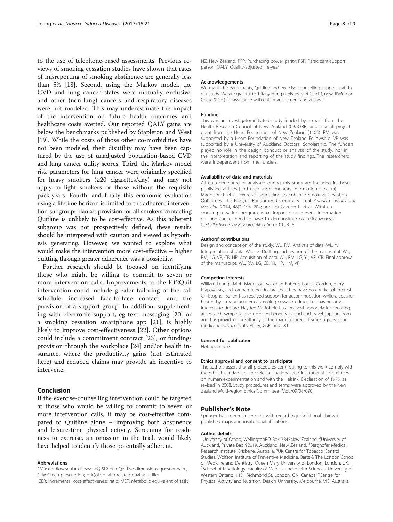to the use of telephone-based assessments. Previous reviews of smoking cessation studies have shown that rates of misreporting of smoking abstinence are generally less than 5% [[18](#page-8-0)]. Second, using the Markov model, the CVD and lung cancer states were mutually exclusive, and other (non-lung) cancers and respiratory diseases were not modeled. This may underestimate the impact of the intervention on future health outcomes and healthcare costs averted. Our reported QALY gains are below the benchmarks published by Stapleton and West [[19\]](#page-8-0). While the costs of those other co-morbidities have not been modeled, their disutility may have been captured by the use of unadjusted population-based CVD and lung cancer utility scores. Third, the Markov model risk parameters for lung cancer were originally specified for heavy smokers (≥20 cigarettes/day) and may not apply to light smokers or those without the requisite pack-years. Fourth, and finally this economic evaluation using a lifetime horizon is limited to the adherent intervention subgroup: blanket provision for all smokers contacting Quitline is unlikely to be cost-effective. As this adherent subgroup was not prospectively defined, these results should be interpreted with caution and viewed as hypothesis generating. However, we wanted to explore what would make the intervention more cost-effective – higher quitting through greater adherence was a possibility.

Further research should be focused on identifying those who might be willing to commit to seven or more intervention calls. Improvements to the Fit2Quit intervention could include greater tailoring of the call schedule, increased face-to-face contact, and the provision of a support group. In addition, supplementing with electronic support, eg text messaging [\[20](#page-8-0)] or a smoking cessation smartphone app [[21\]](#page-8-0), is highly likely to improve cost-effectiveness [[22](#page-8-0)]. Other options could include a commitment contract [\[23](#page-8-0)], or funding/ provision through the workplace [\[24](#page-8-0)] and/or health insurance, where the productivity gains (not estimated here) and reduced claims may provide an incentive to intervene.

## Conclusion

If the exercise-counselling intervention could be targeted at those who would be willing to commit to seven or more intervention calls, it may be cost-effective compared to Quitline alone – improving both abstinence and leisure-time physical activity. Screening for readiness to exercise, an omission in the trial, would likely have helped to identify those potentially adherent.

#### Abbreviations

CVD: Cardiovascular disease; EQ-5D: EuroQol five dimensions questionnaire; GRx: Green prescription; HRQoL: Health-related quality of life; ICER: Incremental cost-effectiveness ratio; MET: Metabolic equivalent of task;

NZ: New Zealand; PPP: Purchasing power parity; PSP: Participant-support person; QALY: Quality-adjusted life-year

#### Acknowledgements

We thank the participants, Quitline and exercise-counselling support staff in our study. We are grateful to Tiffany Hung (University of Cardiff, now JPMorgan Chase & Co.) for assistance with data management and analysis.

#### Funding

This was an investigator-initiated study funded by a grant from the Health Research Council of New Zealand (09/338R) and a small project grant from the Heart Foundation of New Zealand (1405). RM was supported by a Heart Foundation of New Zealand Fellowship. VR was supported by a University of Auckland Doctoral Scholarship. The funders played no role in the design, conduct or analysis of the study, nor in the interpretation and reporting of the study findings. The researchers were independent from the funders.

#### Availability of data and materials

All data generated or analysed during this study are included in these published articles [and their supplementary information files]: (a) Maddison R et al. Exercise Counseling to Enhance Smoking Cessation Outcomes: The Fit2Quit Randomized Controlled Trial. Annals of Behavioral Medicine 2014, 48(2):194–204; and (b) Gordon L et al. Within a smoking-cessation program, what impact does genetic information on lung cancer need to have to demonstrate cost-effectiveness? Cost Effectiveness & Resource Allocation 2010, 8:18.

#### Authors' contributions

Design and conception of the study: WL, RM. Analysis of data: WL, YJ. Interpretation of data: WL, LG. Drafting and revision of the manuscript: WL, RM, LG, VR, CB, HP. Acquisition of data: WL, RM, LG, YJ, VR, CB. Final approval of the manuscript: WL, RM, LG, CB, YJ, HP, HM, VR.

#### Competing interests

William Leung, Ralph Maddison, Vaughan Roberts, Louisa Gordon, Harry Prapavessis, and Yannan Jiang declare that they have no conflict of interest. Christopher Bullen has received support for accommodation while a speaker hosted by a manufacturer of smoking cessation drugs but has no other interests to declare. Hayden McRobbie has received honoraria for speaking at research symposia and received benefits in kind and travel support from and has provided consultancy to the manufacturers of smoking-cessation medications, specifically Pfizer, GSK, and J&J.

#### Consent for publication

Not applicable.

#### Ethics approval and consent to participate

The authors assert that all procedures contributing to this work comply with the ethical standards of the relevant national and institutional committees on human experimentation and with the Helsinki Declaration of 1975, as revised in 2008. Study procedures and terms were approved by the New Zealand Multi-region Ethics Committee (MEC/09/08/090).

## Publisher's Note

Springer Nature remains neutral with regard to jurisdictional claims in published maps and institutional affiliations.

#### Author details

<sup>1</sup>University of Otago, WellingtonPO Box 7343New Zealand. <sup>2</sup>University of Auckland, Private Bag 92019, Auckland, New Zealand. <sup>3</sup>Berghofer Medical Research Institute, Brisbane, Australia. <sup>4</sup>UK Centre for Tobacco Control Studies, Wolfson Institute of Preventive Medicine, Barts & The London School of Medicine and Dentistry, Queen Mary University of London, London, UK. 5 School of Kinesiology, Faculty of Medical and Health Sciences, University of Western Ontario, 1151 Richmond St, London, ON, Canada. <sup>6</sup>Centre for Physical Activity and Nutrition, Deakin University, Melbourne, VIC, Australia.